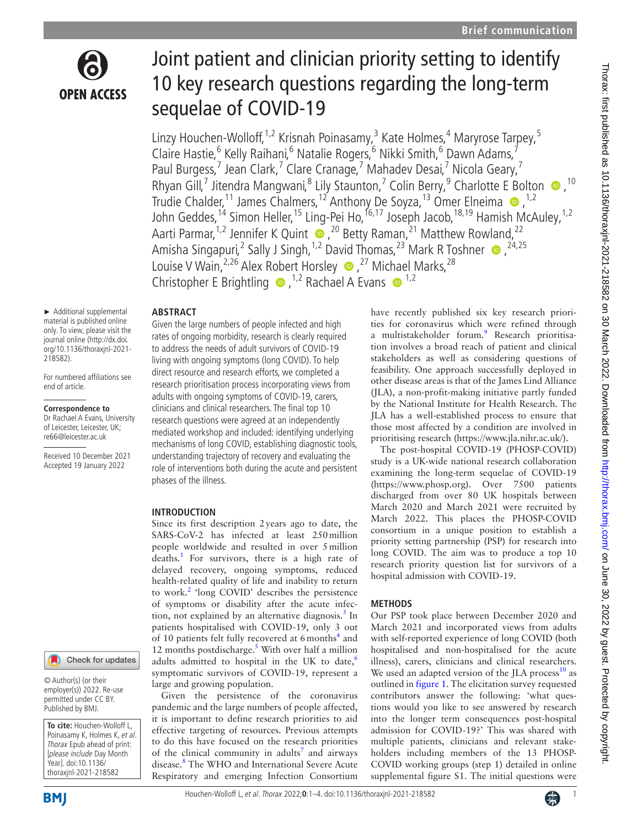

# Joint patient and clinician priority setting to identify 10 key research questions regarding the long-term sequelae of COVID-19

Linzy Houchen-Wolloff,<sup>1,2</sup> Krisnah Poinasamy,<sup>3</sup> Kate Holmes,<sup>4</sup> Maryrose Tarpey,<sup>5</sup> Claire Hastie,<sup>6</sup> Kelly Raihani,<sup>6</sup> Natalie Rogers,<sup>6</sup> Nikki Smith,<sup>6</sup> Dawn Adams,<sup>7</sup> Paul Burgess,<sup>7</sup> Jean Clark,<sup>7</sup> Clare Cranage,<sup>7</sup> Mahadev Desai,<sup>7</sup> Nicola Geary,<sup>7</sup> RhyanGill,<sup>7</sup> Jitendra Mangwani,<sup>8</sup> Lily Staunton,<sup>7</sup> Colin Berry,<sup>9</sup> Charlotte E Bolton  $\bullet$ ,<sup>10</sup> Trudie Chalder,<sup>11</sup> James Chalmers,<sup>12</sup> Anthony De Soyza,<sup>13</sup> Omer Elneima  $\bullet$ ,<sup>1,2</sup> John Geddes,<sup>14</sup> Simon Heller,<sup>15</sup> Ling-Pei Ho,<sup>16,17</sup> Joseph Jacob,<sup>18,19</sup> Hamish McAuley,<sup>1,2</sup> Aarti Parmar,<sup>1,2</sup> Jennifer K Quint  $\bullet$ ,<sup>20</sup> Betty Raman,<sup>21</sup> Matthew Rowland,<sup>22</sup> AmishaSingapuri,<sup>2</sup> Sally J Singh,<sup>1,2</sup> David Thomas,<sup>23</sup> Mark R Toshner  $\bullet$ ,<sup>24,25</sup> Louise V Wain, <sup>2,26</sup> Alex Robert Horsley **.**<sup>27</sup> Michael Marks, <sup>28</sup> ChristopherE Brightling  $\bullet$ , <sup>1,2</sup> Rachael A Evans  $\bullet$ <sup>1,2</sup>

#### **ABSTRACT**

► Additional supplemental material is published online only. To view, please visit the journal online ([http://dx.doi.](http://dx.doi.org/10.1136/thoraxjnl-2021-218582) [org/10.1136/thoraxjnl-2021-](http://dx.doi.org/10.1136/thoraxjnl-2021-218582) [218582](http://dx.doi.org/10.1136/thoraxjnl-2021-218582)).

For numbered affiliations see end of article.

#### **Correspondence to**

Dr Rachael A Evans, University of Leicester, Leicester, UK; re66@leicester.ac.uk

Received 10 December 2021 Accepted 19 January 2022

### Check for updates

© Author(s) (or their employer(s)) 2022. Re-use permitted under CC BY. Published by BMJ.

**To cite:** Houchen-Wolloff L, Poinasamy K, Holmes K, et al. Thorax Epub ahead of print: [please include Day Month Year]. doi:10.1136/ thoraxjnl-2021-218582

Given the large numbers of people infected and high rates of ongoing morbidity, research is clearly required to address the needs of adult survivors of COVID-19 living with ongoing symptoms (long COVID). To help direct resource and research efforts, we completed a research prioritisation process incorporating views from adults with ongoing symptoms of COVID-19, carers, clinicians and clinical researchers. The final top 10 research questions were agreed at an independently mediated workshop and included: identifying underlying mechanisms of long COVID, establishing diagnostic tools, understanding trajectory of recovery and evaluating the role of interventions both during the acute and persistent phases of the illness.

#### **INTRODUCTION**

Since its first description 2years ago to date, the SARS-CoV-2 has infected at least 250million people worldwide and resulted in over 5million deaths.<sup>[1](#page-3-0)</sup> For survivors, there is a high rate of delayed recovery, ongoing symptoms, reduced health-related quality of life and inability to return to work.<sup>2</sup> 'long COVID' describes the persistence of symptoms or disability after the acute infec-tion, not explained by an alternative diagnosis.<sup>[3](#page-3-2)</sup> In patients hospitalised with COVID-19, only 3 out of 10 patients felt fully recovered at 6 months<sup>[4](#page-3-3)</sup> and 12 months postdischarge.<sup>[5](#page-3-4)</sup> With over half a million adults admitted to hospital in the UK to date, $6$ symptomatic survivors of COVID-19, represent a large and growing population.

Given the persistence of the coronavirus pandemic and the large numbers of people affected, it is important to define research priorities to aid effective targeting of resources. Previous attempts to do this have focused on the research priorities of the clinical community in adults<sup>7</sup> and airways disease.[8](#page-3-7) The WHO and International Severe Acute Respiratory and emerging Infection Consortium

have recently published six key research priorities for coronavirus which were refined through a multistakeholder forum.<sup>9</sup> Research prioritisation involves a broad reach of patient and clinical stakeholders as well as considering questions of feasibility. One approach successfully deployed in other disease areas is that of the James Lind Alliance (JLA), a non-profit-making initiative partly funded by the National Institute for Health Research. The JLA has a well-established process to ensure that those most affected by a condition are involved in prioritising research [\(https://www.jla.nihr.ac.uk/\)](https://www.jla.nihr.ac.uk/).

The post-hospital COVID-19 (PHOSP-COVID) study is a UK-wide national research collaboration examining the long-term sequelae of COVID-19 ([https://www.phosp.org\)](https://www.phosp.org). Over 7500 patients discharged from over 80 UK hospitals between March 2020 and March 2021 were recruited by March 2022. This places the PHOSP-COVID consortium in a unique position to establish a priority setting partnership (PSP) for research into long COVID. The aim was to produce a top 10 research priority question list for survivors of a hospital admission with COVID-19.

#### **METHODS**

Our PSP took place between December 2020 and March 2021 and incorporated views from adults with self-reported experience of long COVID (both hospitalised and non-hospitalised for the acute illness), carers, clinicians and clinical researchers. We used an adapted version of the JLA process $^{10}$  $^{10}$  $^{10}$  as outlined in [figure](#page-1-0) 1. The elicitation survey requested contributors answer the following: 'what questions would you like to see answered by research into the longer term consequences post-hospital admission for COVID-19?' This was shared with multiple patients, clinicians and relevant stakeholders including members of the 13 PHOSP-COVID working groups (step 1) detailed in [online](https://dx.doi.org/10.1136/thoraxjnl-2021-218582) [supplemental figure S1.](https://dx.doi.org/10.1136/thoraxjnl-2021-218582) The initial questions were

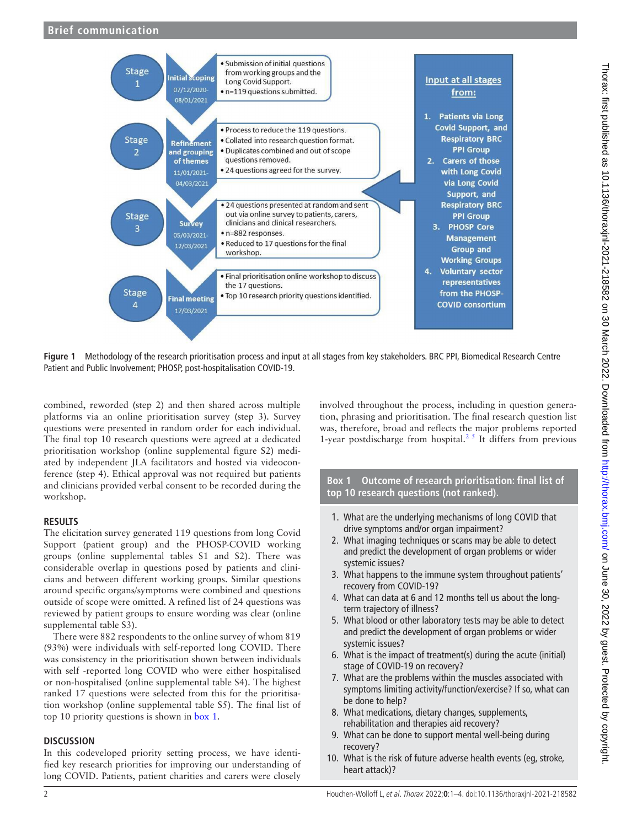

<span id="page-1-0"></span>**Figure 1** Methodology of the research prioritisation process and input at all stages from key stakeholders. BRC PPI, Biomedical Research Centre Patient and Public Involvement; PHOSP, post-hospitalisation COVID-19.

combined, reworded (step 2) and then shared across multiple platforms via an online prioritisation survey (step 3). Survey questions were presented in random order for each individual. The final top 10 research questions were agreed at a dedicated prioritisation workshop [\(online supplemental figure S2\)](https://dx.doi.org/10.1136/thoraxjnl-2021-218582) mediated by independent JLA facilitators and hosted via videoconference (step 4). Ethical approval was not required but patients and clinicians provided verbal consent to be recorded during the workshop.

#### **RESULTS**

The elicitation survey generated 119 questions from long Covid Support (patient group) and the PHOSP-COVID working groups ([online supplemental tables S1 and S2\)](https://dx.doi.org/10.1136/thoraxjnl-2021-218582). There was considerable overlap in questions posed by patients and clinicians and between different working groups. Similar questions around specific organs/symptoms were combined and questions outside of scope were omitted. A refined list of 24 questions was reviewed by patient groups to ensure wording was clear [\(online](https://dx.doi.org/10.1136/thoraxjnl-2021-218582)  [supplemental table S3](https://dx.doi.org/10.1136/thoraxjnl-2021-218582)).

There were 882 respondents to the online survey of whom 819 (93%) were individuals with self-reported long COVID. There was consistency in the prioritisation shown between individuals with self -reported long COVID who were either hospitalised or non-hospitalised ([online supplemental table S4\)](https://dx.doi.org/10.1136/thoraxjnl-2021-218582). The highest ranked 17 questions were selected from this for the prioritisation workshop [\(online supplemental table S5](https://dx.doi.org/10.1136/thoraxjnl-2021-218582)). The final list of top 10 priority questions is shown in [box](#page-1-1) 1.

#### **DISCUSSION**

In this codeveloped priority setting process, we have identified key research priorities for improving our understanding of long COVID. Patients, patient charities and carers were closely

involved throughout the process, including in question generation, phrasing and prioritisation. The final research question list was, therefore, broad and reflects the major problems reported 1-year postdischarge from hospital.<sup>25</sup> It differs from previous

**Box 1 Outcome of research prioritisation: final list of top 10 research questions (not ranked).**

- <span id="page-1-1"></span>1. What are the underlying mechanisms of long COVID that drive symptoms and/or organ impairment?
- 2. What imaging techniques or scans may be able to detect and predict the development of organ problems or wider systemic issues?
- 3. What happens to the immune system throughout patients' recovery from COVID-19?
- 4. What can data at 6 and 12 months tell us about the longterm trajectory of illness?
- 5. What blood or other laboratory tests may be able to detect and predict the development of organ problems or wider systemic issues?
- 6. What is the impact of treatment(s) during the acute (initial) stage of COVID-19 on recovery?
- 7. What are the problems within the muscles associated with symptoms limiting activity/function/exercise? If so, what can be done to help?
- 8. What medications, dietary changes, supplements, rehabilitation and therapies aid recovery?
- 9. What can be done to support mental well-being during recovery?
- 10. What is the risk of future adverse health events (eg, stroke, heart attack)?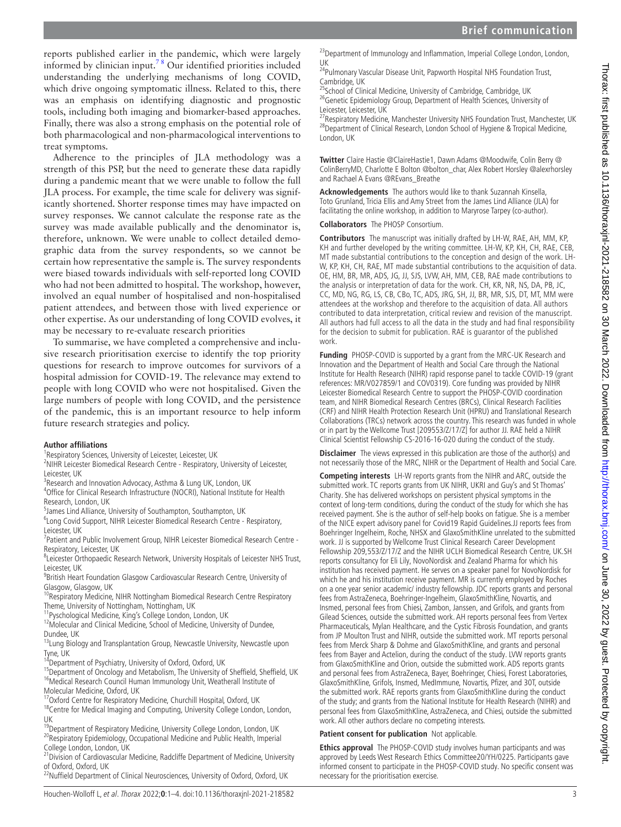reports published earlier in the pandemic, which were largely informed by clinician input.[7 8](#page-3-6) Our identified priorities included understanding the underlying mechanisms of long COVID, which drive ongoing symptomatic illness. Related to this, there was an emphasis on identifying diagnostic and prognostic tools, including both imaging and biomarker-based approaches. Finally, there was also a strong emphasis on the potential role of both pharmacological and non-pharmacological interventions to treat symptoms.

Adherence to the principles of JLA methodology was a strength of this PSP, but the need to generate these data rapidly during a pandemic meant that we were unable to follow the full JLA process. For example, the time scale for delivery was significantly shortened. Shorter response times may have impacted on survey responses. We cannot calculate the response rate as the survey was made available publically and the denominator is, therefore, unknown. We were unable to collect detailed demographic data from the survey respondents, so we cannot be certain how representative the sample is. The survey respondents were biased towards individuals with self-reported long COVID who had not been admitted to hospital. The workshop, however, involved an equal number of hospitalised and non-hospitalised patient attendees, and between those with lived experience or other expertise. As our understanding of long COVID evolves, it may be necessary to re-evaluate research priorities

To summarise, we have completed a comprehensive and inclusive research prioritisation exercise to identify the top priority questions for research to improve outcomes for survivors of a hospital admission for COVID-19. The relevance may extend to people with long COVID who were not hospitalised. Given the large numbers of people with long COVID, and the persistence of the pandemic, this is an important resource to help inform future research strategies and policy.

#### **Author affiliations**

<sup>1</sup> Respiratory Sciences, University of Leicester, Leicester, UK

<sup>2</sup>NIHR Leicester Biomedical Research Centre - Respiratory, University of Leicester, Leicester, UK

<sup>3</sup>Research and Innovation Advocacy, Asthma & Lung UK, London, UK

4 Office for Clinical Research Infrastructure (NOCRI), National Institute for Health Research, London, UK

5 James Lind Alliance, University of Southampton, Southampton, UK

<sup>6</sup>Long Covid Support, NIHR Leicester Biomedical Research Centre - Respiratory, Leicester, UK

<sup>7</sup>Patient and Public Involvement Group, NIHR Leicester Biomedical Research Centre -Respiratory, Leicester, UK

<sup>8</sup>Leicester Orthopaedic Research Network, University Hospitals of Leicester NHS Trust, Leicester, UK

<sup>9</sup> British Heart Foundation Glasgow Cardiovascular Research Centre, University of Glasgow, Glasgow, UK

<sup>10</sup>Respiratory Medicine, NIHR Nottingham Biomedical Research Centre Respiratory Theme, University of Nottingham, Nottingham, UK

11Pyschological Medicine, King's College London, London, UK

<sup>12</sup>Molecular and Clinical Medicine, School of Medicine, University of Dundee, Dundee, UK

<sup>13</sup>Lung Biology and Transplantation Group, Newcastle University, Newcastle upon

Tyne, UK<br><sup>14</sup>Department of Psychiatry, University of Oxford, Oxford, UK

<sup>15</sup>Department of Oncology and Metabolism, The University of Sheffield, Sheffield, UK <sup>16</sup>Medical Research Council Human Immunology Unit, Weatherall Institute of Molecular Medicine, Oxford, UK

<sup>17</sup>Oxford Centre for Respiratory Medicine, Churchill Hospital, Oxford, UK

<sup>18</sup>Centre for Medical Imaging and Computing, University College London, London, UK

<sup>19</sup>Department of Respiratory Medicine, University College London, London, UK  $^{20}$ Respiratory Epidemiology, Occupational Medicine and Public Health, Imperial College London, London, UK

<sup>21</sup>Division of Cardiovascular Medicine, Radcliffe Department of Medicine, University of Oxford, Oxford, UK

<sup>22</sup>Nuffield Department of Clinical Neurosciences, University of Oxford, Oxford, UK

<sup>23</sup> Department of Immunology and Inflammation, Imperial College London, London, UK 24Pulmonary Vascular Disease Unit, Papworth Hospital NHS Foundation Trust,

Cambridge, UK

25School of Clinical Medicine, University of Cambridge, Cambridge, UK <sup>26</sup>Genetic Epidemiology Group, Department of Health Sciences, University of Leicester, Leicester, UK

<sup>27</sup> Respiratory Medicine, Manchester University NHS Foundation Trust, Manchester, UK <sup>28</sup>Department of Clinical Research, London School of Hygiene & Tropical Medicine, London, UK

**Twitter** Claire Hastie [@ClaireHastie1](https://twitter.com/ClaireHastie1), Dawn Adams [@Moodwife](https://twitter.com/Moodwife), Colin Berry [@](https://twitter.com/ColinBerryMD) [ColinBerryMD,](https://twitter.com/ColinBerryMD) Charlotte E Bolton [@bolton\\_char](https://twitter.com/bolton_char), Alex Robert Horsley [@alexrhorsley](https://twitter.com/alexrhorsley)  and Rachael A Evans [@REvans\\_Breathe](https://twitter.com/REvans_Breathe)

**Acknowledgements** The authors would like to thank Suzannah Kinsella, Toto Grunland, Tricia Ellis and Amy Street from the James Lind Alliance (JLA) for facilitating the online workshop, in addition to Maryrose Tarpey (co-author).

**Collaborators** The PHOSP Consortium.

**Contributors** The manuscript was initially drafted by LH-W, RAE, AH, MM, KP, KH and further developed by the writing committee. LH-W, KP, KH, CH, RAE, CEB, MT made substantial contributions to the conception and design of the work. LH-W, KP, KH, CH, RAE, MT made substantial contributions to the acquisition of data. OE, HM, BR, MR, ADS, JG, JJ, SJS, LVW, AH, MM, CEB, RAE made contributions to the analysis or interpretation of data for the work. CH, KR, NR, NS, DA, PB, JC, CC, MD, NG, RG, LS, CB, CBo, TC, ADS, JRG, SH, JJ, BR, MR, SJS, DT, MT, MM were attendees at the workshop and therefore to the acquisition of data. All authors contributed to data interpretation, critical review and revision of the manuscript. All authors had full access to all the data in the study and had final responsibility for the decision to submit for publication. RAE is guarantor of the published work.

**Funding** PHOSP-COVID is supported by a grant from the MRC-UK Research and Innovation and the Department of Health and Social Care through the National Institute for Health Research (NIHR) rapid response panel to tackle COVID-19 (grant references: MR/V027859/1 and COV0319). Core funding was provided by NIHR Leicester Biomedical Research Centre to support the PHOSP-COVID coordination team, and NIHR Biomedical Research Centres (BRCs), Clinical Research Facilities (CRF) and NIHR Health Protection Research Unit (HPRU) and Translational Research Collaborations (TRCs) network across the country. This research was funded in whole or in part by the Wellcome Trust [209553/Z/17/Z] for author JJ. RAE held a NIHR Clinical Scientist Fellowship CS-2016-16-020 during the conduct of the study.

**Disclaimer** The views expressed in this publication are those of the author(s) and not necessarily those of the MRC, NIHR or the Department of Health and Social Care.

**Competing interests** LH-W reports grants from the NIHR and ARC, outside the submitted work. TC reports grants from UK NIHR, UKRI and Guy's and St Thomas' Charity. She has delivered workshops on persistent physical symptoms in the context of long-term conditions, during the conduct of the study for which she has received payment. She is the author of self-help books on fatigue. She is a member of the NICE expert advisory panel for Covid19 Rapid Guidelines.JJ reports fees from Boehringer Ingelheim, Roche, NHSX and GlaxoSmithKline unrelated to the submitted work. JJ is supported by Wellcome Trust Clinical Research Career Development Fellowship 209,553/Z/17/Z and the NIHR UCLH Biomedical Research Centre, UK.SH reports consultancy for Eli Lily, NovoNordisk and Zealand Pharma for which his institution has received payment. He serves on a speaker panel for NovoNordisk for which he and his institution receive payment. MR is currently employed by Roches on a one year senior academic/ industry fellowship. JDC reports grants and personal fees from AstraZeneca, Boehringer-Ingelheim, GlaxoSmithKline, Novartis, and Insmed, personal fees from Chiesi, Zambon, Janssen, and Grifols, and grants from Gilead Sciences, outside the submitted work. AH reports personal fees from Vertex Pharmaceuticals, Mylan Healthcare, and the Cystic Fibrosis Foundation, and grants from JP Moulton Trust and NIHR, outside the submitted work. MT reports personal fees from Merck Sharp & Dohme and GlaxoSmithKline, and grants and personal fees from Bayer and Actelion, during the conduct of the study. LVW reports grants from GlaxoSmithKline and Orion, outside the submitted work. ADS reports grants and personal fees from AstraZeneca, Bayer, Boehringer, Chiesi, Forest Laboratories, GlaxoSmithKline, Grifols, Insmed, MedImmune, Novartis, Pfizer, and 30T, outside the submitted work. RAE reports grants from GlaxoSmithKline during the conduct of the study; and grants from the National Institute for Health Research (NIHR) and personal fees from GlaxoSmithKline, AstraZeneca, and Chiesi, outside the submitted work. All other authors declare no competing interests.

**Patient consent for publication** Not applicable.

**Ethics approval** The PHOSP-COVID study involves human participants and was approved by Leeds West Research Ethics Committee20/YH/0225. Participants gave informed consent to participate in the PHOSP-COVID study. No specific consent was necessary for the prioritisation exercise.